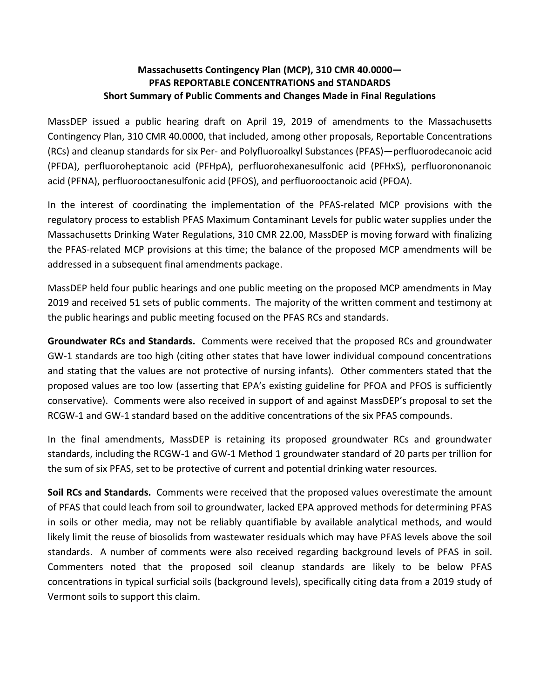## **Massachusetts Contingency Plan (MCP), 310 CMR 40.0000— PFAS REPORTABLE CONCENTRATIONS and STANDARDS Short Summary of Public Comments and Changes Made in Final Regulations**

MassDEP issued a public hearing draft on April 19, 2019 of amendments to the Massachusetts Contingency Plan, 310 CMR 40.0000, that included, among other proposals, Reportable Concentrations (RCs) and cleanup standards for six Per- and Polyfluoroalkyl Substances (PFAS)—perfluorodecanoic acid (PFDA), perfluoroheptanoic acid (PFHpA), perfluorohexanesulfonic acid (PFHxS), perfluorononanoic acid (PFNA), perfluorooctanesulfonic acid (PFOS), and perfluorooctanoic acid (PFOA).

In the interest of coordinating the implementation of the PFAS-related MCP provisions with the regulatory process to establish PFAS Maximum Contaminant Levels for public water supplies under the Massachusetts Drinking Water Regulations, 310 CMR 22.00, MassDEP is moving forward with finalizing the PFAS-related MCP provisions at this time; the balance of the proposed MCP amendments will be addressed in a subsequent final amendments package.

MassDEP held four public hearings and one public meeting on the proposed MCP amendments in May 2019 and received 51 sets of public comments. The majority of the written comment and testimony at the public hearings and public meeting focused on the PFAS RCs and standards.

**Groundwater RCs and Standards.** Comments were received that the proposed RCs and groundwater GW-1 standards are too high (citing other states that have lower individual compound concentrations and stating that the values are not protective of nursing infants). Other commenters stated that the proposed values are too low (asserting that EPA's existing guideline for PFOA and PFOS is sufficiently conservative). Comments were also received in support of and against MassDEP's proposal to set the RCGW-1 and GW-1 standard based on the additive concentrations of the six PFAS compounds.

In the final amendments, MassDEP is retaining its proposed groundwater RCs and groundwater standards, including the RCGW-1 and GW-1 Method 1 groundwater standard of 20 parts per trillion for the sum of six PFAS, set to be protective of current and potential drinking water resources.

**Soil RCs and Standards.** Comments were received that the proposed values overestimate the amount of PFAS that could leach from soil to groundwater, lacked EPA approved methods for determining PFAS in soils or other media, may not be reliably quantifiable by available analytical methods, and would likely limit the reuse of biosolids from wastewater residuals which may have PFAS levels above the soil standards. A number of comments were also received regarding background levels of PFAS in soil. Commenters noted that the proposed soil cleanup standards are likely to be below PFAS concentrations in typical surficial soils (background levels), specifically citing data from a 2019 study of Vermont soils to support this claim.